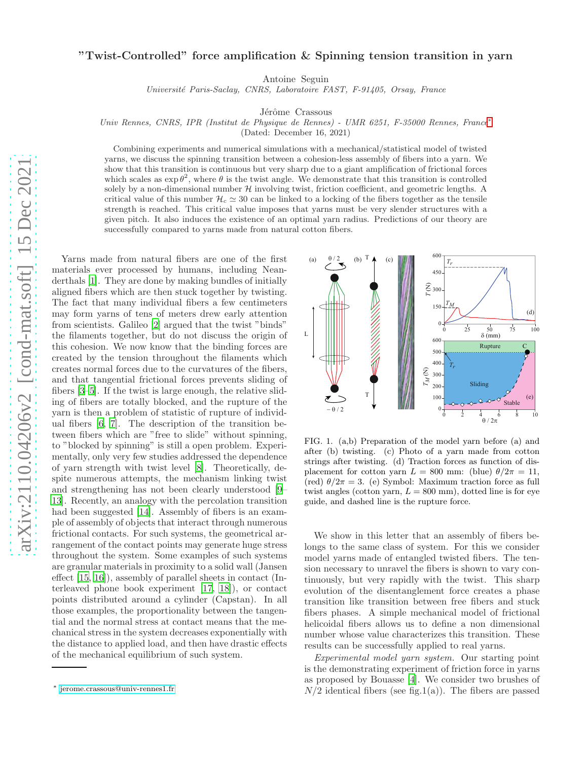## "Twist-Controlled" force amplification & Spinning tension transition in yarn

Antoine Seguin

Université Paris-Saclay, CNRS, Laboratoire FAST, F-91405, Orsay, France

Jérôme Crassous

Univ Rennes, CNRS, IPR (Institut de Physique de Rennes) - UMR 6251, F-35000 Rennes, France[∗](#page-0-0)

(Dated: December 16, 2021)

Combining experiments and numerical simulations with a mechanical/statistical model of twisted yarns, we discuss the spinning transition between a cohesion-less assembly of fibers into a yarn. We show that this transition is continuous but very sharp due to a giant amplification of frictional forces which scales as  $\exp \theta^2$ , where  $\theta$  is the twist angle. We demonstrate that this transition is controlled solely by a non-dimensional number  $H$  involving twist, friction coefficient, and geometric lengths. A critical value of this number  $\mathcal{H}_c \simeq 30$  can be linked to a locking of the fibers together as the tensile strength is reached. This critical value imposes that yarns must be very slender structures with a given pitch. It also induces the existence of an optimal yarn radius. Predictions of our theory are successfully compared to yarns made from natural cotton fibers.

Yarns made from natural fibers are one of the first materials ever processed by humans, including Neanderthals [\[1](#page-4-0)]. They are done by making bundles of initially aligned fibers which are then stuck together by twisting. The fact that many individual fibers a few centimeters may form yarns of tens of meters drew early attention from scientists. Galileo [\[2\]](#page-4-1) argued that the twist "binds" the filaments together, but do not discuss the origin of this cohesion. We now know that the binding forces are created by the tension throughout the filaments which creates normal forces due to the curvatures of the fibers, and that tangential frictional forces prevents sliding of fibers [\[3](#page-4-2)[–5](#page-4-3)]. If the twist is large enough, the relative sliding of fibers are totally blocked, and the rupture of the yarn is then a problem of statistic of rupture of individual fibers [\[6,](#page-4-4) [7](#page-4-5)]. The description of the transition between fibers which are "free to slide" without spinning, to "blocked by spinning" is still a open problem. Experimentally, only very few studies addressed the dependence of yarn strength with twist level [\[8\]](#page-4-6). Theoretically, despite numerous attempts, the mechanism linking twist and strengthening has not been clearly understood [\[9](#page-4-7)– [13\]](#page-4-8). Recently, an analogy with the percolation transition had been suggested [\[14\]](#page-4-9). Assembly of fibers is an example of assembly of objects that interact through numerous frictional contacts. For such systems, the geometrical arrangement of the contact points may generate huge stress throughout the system. Some examples of such systems are granular materials in proximity to a solid wall (Jansen effect [\[15,](#page-4-10) [16](#page-4-11)]), assembly of parallel sheets in contact (Interleaved phone book experiment [\[17](#page-4-12), [18\]](#page-4-13)), or contact points distributed around a cylinder (Capstan). In all those examples, the proportionality between the tangential and the normal stress at contact means that the mechanical stress in the system decreases exponentially with the distance to applied load, and then have drastic effects of the mechanical equilibrium of such system.



FIG. 1. (a,b) Preparation of the model yarn before (a) and after (b) twisting. (c) Photo of a yarn made from cotton strings after twisting. (d) Traction forces as function of displacement for cotton yarn  $L = 800$  mm: (blue)  $\theta/2\pi = 11$ , (red)  $\theta/2\pi = 3$ . (e) Symbol: Maximum traction force as full twist angles (cotton yarn,  $L = 800$  mm), dotted line is for eye guide, and dashed line is the rupture force.

We show in this letter that an assembly of fibers belongs to the same class of system. For this we consider model yarns made of entangled twisted fibers. The tension necessary to unravel the fibers is shown to vary continuously, but very rapidly with the twist. This sharp evolution of the disentanglement force creates a phase transition like transition between free fibers and stuck fibers phases. A simple mechanical model of frictional helicoidal fibers allows us to define a non dimensional number whose value characterizes this transition. These results can be successfully applied to real yarns.

Experimental model yarn system. Our starting point is the demonstrating experiment of friction force in yarns as proposed by Bouasse [\[4](#page-4-14)]. We consider two brushes of  $N/2$  identical fibers (see fig.1(a)). The fibers are passed

<span id="page-0-0"></span><sup>∗</sup> [jerome.crassous@univ-rennes1.fr](mailto:jerome.crassous@univ-rennes1.fr)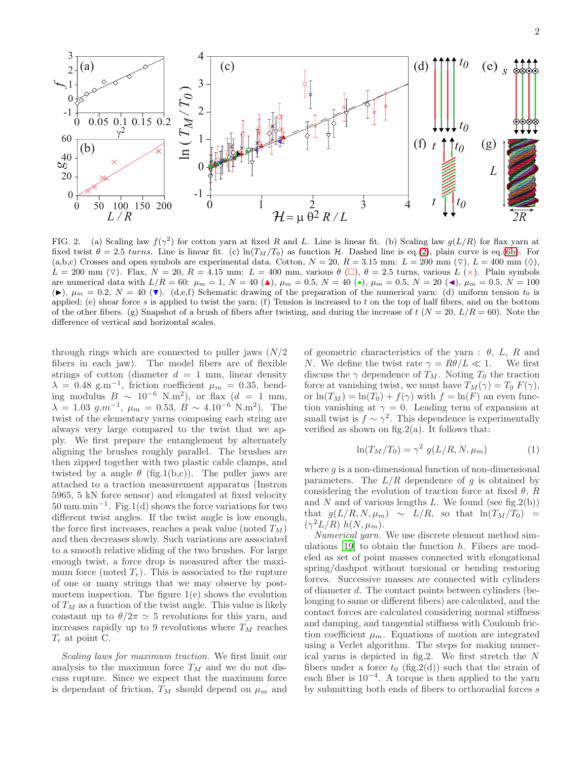

FIG. 2. (a) Scaling law  $f(\gamma^2)$  for cotton yarn at fixed R and L. Line is linear fit. (b) Scaling law  $g(L/R)$  for flax yarn at fixed twist  $\theta = 2.5 \text{ turns.}$  Line is linear fit. (c)  $\ln(T_M/T_0)$  as function H. Dashed line is eq.[\(2\)](#page-2-0), plain curve is eq.[\(6b\)](#page-2-1). For (a,b,c) Crosses and open symbols are experimental data. Cotton,  $N = 20$ ,  $R = 3.15$  mm:  $L = 200$  mm  $(\triangledown)$ ,  $L = 400$  mm  $(\diamond)$ ,  $L = 200$  mm ( $\nabla$ ). Flax,  $N = 20$ ,  $R = 4.15$  mm:  $L = 400$  mm, various  $\theta$  ( $\square$ ),  $\theta = 2.5$  turns, various  $L(x)$ . Plain symbols are numerical data with  $L/R = 60$ :  $\mu_m = 1$ ,  $N = 40$  ( $\bullet$ ),  $\mu_m = 0.5$ ,  $N = 40$  ( $\bullet$ ),  $\mu_m = 0.5$ ,  $N = 20$  ( $\bullet$ ),  $\mu_m = 0.5$ ,  $N = 100$  $(\blacktriangleright), \mu_m = 0.2, N = 40 \blacktriangleright (d, e, f)$  Schematic drawing of the preparation of the numerical yarn: (d) uniform tension  $t_0$  is applied; (e) shear force s is applied to twist the yarn; (f) Tension is increased to t on the top of half fibers, and on the bottom of the other fibers. (g) Snapshot of a brush of fibers after twisting, and during the increase of  $t$  ( $N = 20$ ,  $L/R = 60$ ). Note the difference of vertical and horizontal scales.

through rings which are connected to puller jaws  $(N/2)$ fibers in each jaw). The model fibers are of flexible strings of cotton (diameter  $d = 1$  mm, linear density  $\lambda = 0.48$  g.m<sup>-1</sup>, friction coefficient  $\mu_m = 0.35$ , bending modulus  $B \sim 10^{-6}$  N.m<sup>2</sup>), or flax  $(d = 1$  mm,  $\lambda = 1.03 \, g.m^{-1}, \, \mu_m = 0.53, \, \hat{B} \sim 4.10^{-6} \, \text{N.m}^2$ . The twist of the elementary yarns composing each string are always very large compared to the twist that we apply. We first prepare the entanglement by alternately aligning the brushes roughly parallel. The brushes are then zipped together with two plastic cable clamps, and twisted by a angle  $\theta$  (fig.1(b,c)). The puller jaws are attached to a traction measurement apparatus (Instron 5965, 5 kN force sensor) and elongated at fixed velocity 50 mm.min<sup>−</sup><sup>1</sup> . Fig.1(d) shows the force variations for two different twist angles. If the twist angle is low enough, the force first increases, reaches a peak value (noted  $T_M$ ) and then decreases slowly. Such variations are associated to a smooth relative sliding of the two brushes. For large enough twist, a force drop is measured after the maximum force (noted  $T_r$ ). This is associated to the rupture of one or many strings that we may observe by postmortem inspection. The figure  $1(e)$  shows the evolution of  $T_M$  as a function of the twist angle. This value is likely constant up to  $\theta/2\pi \simeq 5$  revolutions for this yarn, and increases rapidly up to 9 revolutions where  $T_M$  reaches  $T_r$  at point C.

Scaling laws for maximum traction. We first limit our analysis to the maximum force  $T_M$  and we do not discuss rupture. Since we expect that the maximum force is dependant of friction,  $T_M$  should depend on  $\mu_m$  and of geometric characteristics of the yarn :  $\theta$ , L, R and N. We define the twist rate  $\gamma = R\theta/L \ll 1$ . We first discuss the  $\gamma$  dependence of  $T_M$ . Noting  $T_0$  the traction force at vanishing twist, we must have  $T_M(\gamma) = T_0 F(\gamma)$ , or  $\ln(T_M) = \ln(T_0) + f(\gamma)$  with  $f = \ln(F)$  an even function vanishing at  $\gamma = 0$ . Leading term of expansion at small twist is  $f \sim \gamma^2$ . This dependence is experimentally verified as shown on fig.  $2(a)$ . It follows that:

$$
\ln(T_M/T_0) = \gamma^2 \ g(L/R, N, \mu_m) \tag{1}
$$

where  $g$  is a non-dimensional function of non-dimensional parameters. The  $L/R$  dependence of g is obtained by considering the evolution of traction force at fixed  $\theta$ , R and N and of various lengths L. We found (see fig.  $2(b)$ ) that  $g(L/R, N, \mu_m) \sim L/R$ , so that  $\ln(T_M/T_0)$  =  $(\gamma^2 L/R)$  h(N,  $\mu_m$ ).

Numerical yarn. We use discrete element method sim-ulations [\[19](#page-4-15)] to obtain the function  $h$ . Fibers are modeled as set of point masses connected with elongational spring/dashpot without torsional or bending restoring forces. Successive masses are connected with cylinders of diameter d. The contact points between cylinders (belonging to same or different fibers) are calculated, and the contact forces are calculated considering normal stiffness and damping, and tangential stiffness with Coulomb friction coefficient  $\mu_m$ . Equations of motion are integrated using a Verlet algorithm. The steps for making numerical yarns is depicted in fig.2. We first stretch the N fibers under a force  $t_0$  (fig.2(d)) such that the strain of each fiber is  $10^{-4}$ . A torque is then applied to the yarn by submitting both ends of fibers to orthoradial forces s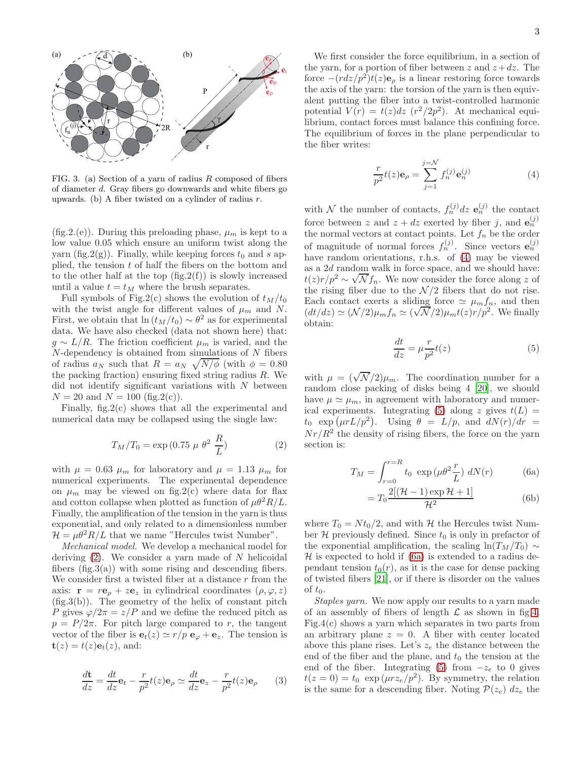

FIG. 3. (a) Section of a yarn of radius R composed of fibers of diameter d. Gray fibers go downwards and white fibers go upwards. (b) A fiber twisted on a cylinder of radius r.

(fig. 2.(e)). During this preloading phase,  $\mu_m$  is kept to a low value 0.05 which ensure an uniform twist along the yarn (fig.  $2(g)$ ). Finally, while keeping forces  $t_0$  and s applied, the tension  $t$  of half the fibers on the bottom and to the other half at the top  $(f_ig.2(f))$  is slowly increased until a value  $t = t_M$  where the brush separates.

Full symbols of Fig.2(c) shows the evolution of  $t_M/t_0$ with the twist angle for different values of  $\mu_m$  and N. First, we obtain that  $\ln (t_M / t_0) \sim \theta^2$  as for experimental data. We have also checked (data not shown here) that:  $g \sim L/R$ . The friction coefficient  $\mu_m$  is varied, and the  $N$ -dependency is obtained from simulations of  $N$  fibers of radius  $a_N$  such that  $R = a_N \sqrt{N/\phi}$  (with  $\phi = 0.80$ the packing fraction) ensuring fixed string radius R. We did not identify significant variations with  $N$  between  $N = 20$  and  $N = 100$  (fig.2(c)).

Finally, fig.2(c) shows that all the experimental and numerical data may be collapsed using the single law:

<span id="page-2-0"></span>
$$
T_M/T_0 = \exp(0.75 \ \mu \ \theta^2 \ \frac{R}{L}) \tag{2}
$$

with  $\mu = 0.63 \mu_m$  for laboratory and  $\mu = 1.13 \mu_m$  for numerical experiments. The experimental dependence on  $\mu_m$  may be viewed on fig. 2(c) where data for flax and cotton collapse when plotted as function of  $\mu\theta^2 R/L$ . Finally, the amplification of the tension in the yarn is thus exponential, and only related to a dimensionless number  $\mathcal{H} = \mu \theta^2 R/L$  that we name "Hercules twist Number".

Mechanical model. We develop a mechanical model for deriving  $(2)$ . We consider a yarn made of N helicoidal fibers  $(fig.3(a))$  with some rising and descending fibers. We consider first a twisted fiber at a distance  $r$  from the axis:  $\mathbf{r} = r\mathbf{e}_{\rho} + z\mathbf{e}_{z}$  in cylindrical coordinates  $(\rho, \varphi, z)$  $(fig.3(b))$ . The geometry of the helix of constant pitch P gives  $\varphi/2\pi = z/P$  and we define the reduced pitch as  $p = P/2\pi$ . For pitch large compared to r, the tangent vector of the fiber is  $e_t(z) \simeq r/p \, e_\varphi + e_z$ . The tension is  $t(z) = t(z) e_t(z)$ , and:

$$
\frac{d\mathbf{t}}{dz} = \frac{dt}{dz}\mathbf{e}_t - \frac{r}{p^2}t(z)\mathbf{e}_\rho \simeq \frac{dt}{dz}\mathbf{e}_z - \frac{r}{p^2}t(z)\mathbf{e}_\rho \qquad (3)
$$

We first consider the force equilibrium, in a section of the yarn, for a portion of fiber between z and  $z+dz$ . The force  $-(rdz/p^2)t(z)\mathbf{e}_{\rho}$  is a linear restoring force towards the axis of the yarn: the torsion of the yarn is then equivalent putting the fiber into a twist-controlled harmonic potential  $V(r) = t(z)dz$  ( $r^2/2p^2$ ). At mechanical equilibrium, contact forces must balance this confining force. The equilibrium of forces in the plane perpendicular to the fiber writes:

<span id="page-2-2"></span>
$$
\frac{r}{p^2}t(z)\mathbf{e}_{\rho} = \sum_{j=1}^{j=\mathcal{N}} f_n^{(j)} \mathbf{e}_n^{(j)}
$$
(4)

with N the number of contacts,  $f_n^{(j)}$  dz  $\mathbf{e}_n^{(j)}$  the contact force between z and  $z + dz$  exerted by fiber j, and  $\mathbf{e}_n^{(j)}$ the normal vectors at contact points. Let  $f_n$  be the order of magnitude of normal forces  $f_n^{(j)}$ . Since vectors  $\mathbf{e}_n^{(j)}$ have random orientations, r.h.s. of [\(4\)](#page-2-2) may be viewed as a 2d random walk in force space, and we should have:  $t(z)r/p^2 \sim \sqrt{N}f_n$ . We now consider the force along z of the rising fiber due to the  $\mathcal{N}/2$  fibers that do not rise. Each contact exerts a sliding force  $\simeq \mu_m f_n$ , and then Let  $\text{Consider each of } \alpha \text{ stands for } \alpha = \mu m, n$ , and show<br>  $(dt/dz) \simeq (\mathcal{N}/2)\mu_m f_n \simeq (\sqrt{\mathcal{N}}/2)\mu_m t(z) r/p^2$ . We finally obtain:

<span id="page-2-3"></span>
$$
\frac{dt}{dz} = \mu \frac{r}{p^2} t(z)
$$
 (5)

with  $\mu = (\sqrt{\mathcal{N}}/2)\mu_m$ . The coordination number for a random close packing of disks being 4 [\[20](#page-4-16)], we should have  $\mu \simeq \mu_m$ , in agreement with laboratory and numer-ical experiments. Integrating [\(5\)](#page-2-3) along z gives  $t(L)$  =  $t_0 \exp(\mu r L/p^2)$ . Using  $\theta = L/p$ , and  $dN(r)/dr =$  $Nr/R<sup>2</sup>$  the density of rising fibers, the force on the yarn section is:

$$
T_M = \int_{r=0}^{r=R} t_0 \exp(\mu \theta^2 \frac{r}{L}) dN(r)
$$
 (6a)

<span id="page-2-4"></span><span id="page-2-1"></span>
$$
= T_0 \frac{2[(\mathcal{H} - 1)\exp\mathcal{H} + 1]}{\mathcal{H}^2}
$$
 (6b)

where  $T_0 = N t_0 / 2$ , and with H the Hercules twist Number  $\mathcal H$  previously defined. Since  $t_0$  is only in prefactor of the exponential amplification, the scaling ln( $T_M/T_0$ ) ∼  $\mathcal H$  is expected to hold if [\(6a\)](#page-2-4) is extended to a radius dependant tension  $t_0(r)$ , as it is the case for dense packing of twisted fibers [\[21](#page-4-17)], or if there is disorder on the values of  $t_0$ .

Staples yarn. We now apply our results to a yarn made of an assembly of fibers of length  $\mathcal L$  as shown in fig[.4.](#page-3-0) Fig.4(c) shows a yarn which separates in two parts from an arbitrary plane  $z = 0$ . A fiber with center located above this plane rises. Let's  $z_e$  the distance between the end of the fiber and the plane, and  $t_0$  the tension at the end of the fiber. Integrating [\(5\)](#page-2-3) from  $-z_e$  to 0 gives  $t(z=0) = t_0 \exp(\mu r z_e / p^2)$ . By symmetry, the relation is the same for a descending fiber. Noting  $\mathcal{P}(z_e)$  d $z_e$  the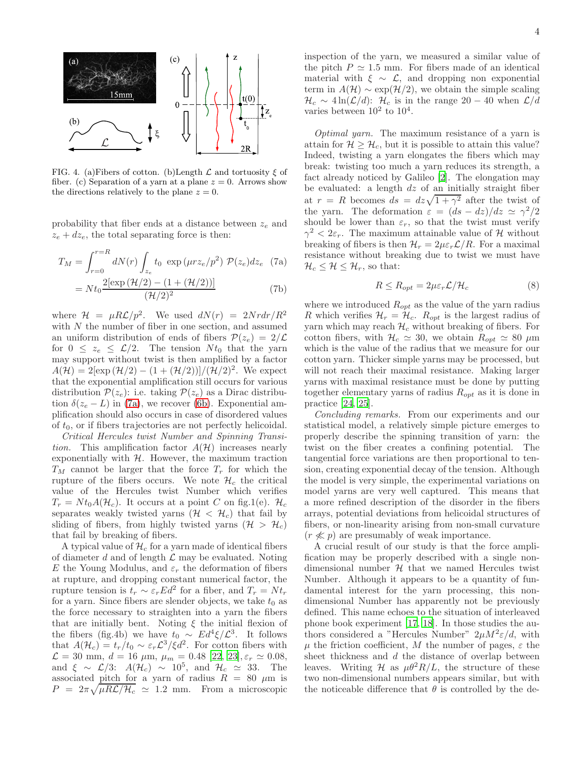

<span id="page-3-0"></span>FIG. 4. (a)Fibers of cotton. (b)Length  $\mathcal L$  and tortuosity  $\xi$  of fiber. (c) Separation of a yarn at a plane  $z = 0$ . Arrows show the directions relatively to the plane  $z = 0$ .

probability that fiber ends at a distance between  $z_e$  and  $z_e + dz_e$ , the total separating force is then:

$$
T_M = \int_{r=0}^{r=R} dN(r) \int_{z_e} t_0 \exp(\mu r z_e / p^2) \mathcal{P}(z_e) dz_e
$$
 (7a)

$$
= Nt_0 \frac{2[\exp\left(\mathcal{H}/2\right) - (1 + (\mathcal{H}/2))]}{(\mathcal{H}/2)^2}
$$
 (7b)

where  $\mathcal{H} = \mu R \mathcal{L} / p^2$ . We used  $dN(r) = 2N r dr / R^2$ with N the number of fiber in one section, and assumed an uniform distribution of ends of fibers  $\mathcal{P}(z_e) = 2/\mathcal{L}$ for  $0 \leq z_e \leq \mathcal{L}/2$ . The tension  $N t_0$  that the yarn may support without twist is then amplified by a factor  $A(\mathcal{H}) = 2[\exp(\mathcal{H}/2) - (1 + (\mathcal{H}/2))] / (\mathcal{H}/2)^2$ . We expect that the exponential amplification still occurs for various distribution  $\mathcal{P}(z_e)$ : i.e. taking  $\mathcal{P}(z_e)$  as a Dirac distribution  $\delta(z_e - L)$  in [\(7a\)](#page-3-1), we recover [\(6b\)](#page-2-1). Exponential amplification should also occurs in case of disordered values of  $t_0$ , or if fibers trajectories are not perfectly helicoidal.

Critical Hercules twist Number and Spinning Transition. This amplification factor  $A(\mathcal{H})$  increases nearly exponentially with  $H$ . However, the maximum traction  $T_M$  cannot be larger that the force  $T_r$  for which the rupture of the fibers occurs. We note  $\mathcal{H}_c$  the critical value of the Hercules twist Number which verifies  $T_r = N t_0 A(\mathcal{H}_c)$ . It occurs at a point C on fig.1(e).  $\mathcal{H}_c$ separates weakly twisted yarns ( $H < H<sub>c</sub>$ ) that fail by sliding of fibers, from highly twisted yarns  $(\mathcal{H} > \mathcal{H}_c)$ that fail by breaking of fibers.

A typical value of  $\mathcal{H}_c$  for a yarn made of identical fibers of diameter  $d$  and of length  $\mathcal L$  may be evaluated. Noting E the Young Modulus, and  $\varepsilon_r$  the deformation of fibers at rupture, and dropping constant numerical factor, the rupture tension is  $t_r \sim \varepsilon_r E d^2$  for a fiber, and  $T_r = N t_r$ for a yarn. Since fibers are slender objects, we take  $t_0$  as the force necessary to straighten into a yarn the fibers that are initially bent. Noting  $\xi$  the initial flexion of the fibers (fig.4b) we have  $t_0 \sim Ed^4 \xi/\mathcal{L}^3$ . It follows that  $A(\mathcal{H}_c) = t_r/t_0 \sim \varepsilon_r \mathcal{L}^3/\xi d^2$ . For cotton fibers with  $\mathcal{L} = 30$  mm,  $d = 16$   $\mu$ m,  $\mu$ <sub>m</sub> = 0.48 [\[22,](#page-4-18) [23](#page-4-19)],  $\varepsilon_r \simeq 0.08$ , and  $\xi \sim \mathcal{L}/3$ :  $A(\mathcal{H}_c) \sim 10^5$ , and  $\mathcal{H}_c \simeq 33$ . The associated pitch for a yarn of radius  $R = 80 \mu m$  is  $P = 2\pi \sqrt{\mu R \mathcal{L} / \mathcal{H}_c} \simeq 1.2$  mm. From a microscopic

inspection of the yarn, we measured a similar value of the pitch  $P \simeq 1.5$  mm. For fibers made of an identical material with  $\xi \sim \mathcal{L}$ , and dropping non exponential term in  $A(\mathcal{H}) \sim \exp(\mathcal{H}/2)$ , we obtain the simple scaling  $\mathcal{H}_c \sim 4 \ln(\mathcal{L}/d)$ :  $\mathcal{H}_c$  is in the range 20 – 40 when  $\mathcal{L}/d$ varies between  $10^2$  to  $10^4$ .

Optimal yarn. The maximum resistance of a yarn is attain for  $\mathcal{H} \geq \mathcal{H}_c$ , but it is possible to attain this value? Indeed, twisting a yarn elongates the fibers which may break: twisting too much a yarn reduces its strength, a fact already noticed by Galileo [\[2\]](#page-4-1). The elongation may be evaluated: a length  $dz$  of an initially straight fiber at  $r = R$  becomes  $ds = dz\sqrt{1 + \gamma^2}$  after the twist of the yarn. The deformation  $\varepsilon = (ds - dz)/dz \simeq \gamma^2/2$ should be lower than  $\varepsilon_r$ , so that the twist must verify  $\gamma^2 < 2\varepsilon_r$ . The maximum attainable value of H without breaking of fibers is then  $\mathcal{H}_r = 2\mu \varepsilon_r \mathcal{L}/R$ . For a maximal resistance without breaking due to twist we must have  $\mathcal{H}_c \leq \mathcal{H} \leq \mathcal{H}_r$ , so that:

$$
R \le R_{opt} = 2\mu \varepsilon_r \mathcal{L} / \mathcal{H}_c \tag{8}
$$

<span id="page-3-1"></span>where we introduced  $R_{opt}$  as the value of the yarn radius R which verifies  $\mathcal{H}_r = \mathcal{H}_c$ .  $R_{opt}$  is the largest radius of yarn which may reach  $\mathcal{H}_c$  without breaking of fibers. For cotton fibers, with  $\mathcal{H}_c \simeq 30$ , we obtain  $R_{opt} \simeq 80 \ \mu \text{m}$ which is the value of the radius that we measure for our cotton yarn. Thicker simple yarns may be processed, but will not reach their maximal resistance. Making larger yarns with maximal resistance must be done by putting together elementary yarns of radius  $R_{opt}$  as it is done in practice [\[24,](#page-4-20) [25\]](#page-4-21).

Concluding remarks. From our experiments and our statistical model, a relatively simple picture emerges to properly describe the spinning transition of yarn: the twist on the fiber creates a confining potential. The tangential force variations are then proportional to tension, creating exponential decay of the tension. Although the model is very simple, the experimental variations on model yarns are very well captured. This means that a more refined description of the disorder in the fibers arrays, potential deviations from helicoidal structures of fibers, or non-linearity arising from non-small curvature  $(r \nless p)$  are presumably of weak importance.

A crucial result of our study is that the force amplification may be properly described with a single nondimensional number  $H$  that we named Hercules twist Number. Although it appears to be a quantity of fundamental interest for the yarn processing, this nondimensional Number has apparently not be previously defined. This name echoes to the situation of interleaved phone book experiment [\[17,](#page-4-12) [18\]](#page-4-13). In those studies the authors considered a "Hercules Number"  $2\mu M^2 \varepsilon / d$ , with  $\mu$  the friction coefficient, M the number of pages,  $\varepsilon$  the sheet thickness and d the distance of overlap between leaves. Writing H as  $\mu\theta^2 R/L$ , the structure of these two non-dimensional numbers appears similar, but with the noticeable difference that  $\theta$  is controlled by the de